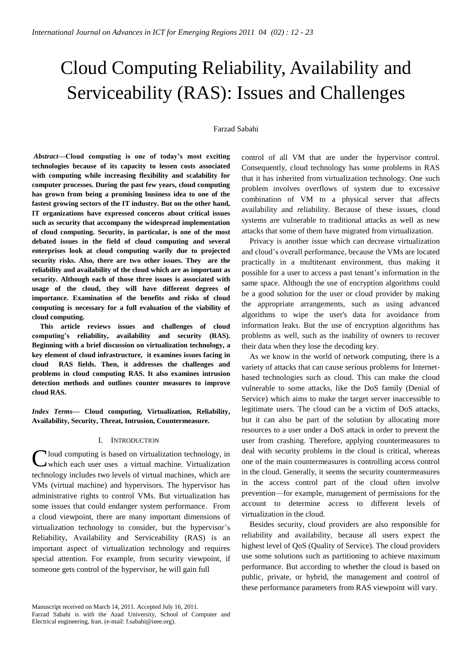# Cloud Computing Reliability, Availability and Serviceability (RAS): Issues and Challenges

#### Farzad Sabahi

*Abstract***—Cloud computing is one of today's most exciting technologies because of its capacity to lessen costs associated with computing while increasing flexibility and scalability for computer processes. During the past few years, cloud computing has grown from being a promising business idea to one of the fastest growing sectors of the IT industry. But on the other hand, IT organizations have expressed concerns about critical issues such as security that accompany the widespread implementation of cloud computing. Security, in particular, is one of the most debated issues in the field of cloud computing and several enterprises look at cloud computing warily due to projected security risks. Also, there are two other issues. They are the reliability and availability of the cloud which are as important as security. Although each of those three issues is associated with usage of the cloud, they will have different degrees of importance. Examination of the benefits and risks of cloud computing is necessary for a full evaluation of the viability of cloud computing.** 

**This article reviews issues and challenges of cloud computing's reliability, availability and security (RAS). Beginning with a brief discussion on virtualization technology, a key element of cloud infrastructure, it examines issues facing in cloud RAS fields. Then, it addresses the challenges and problems in cloud computing RAS. It also examines intrusion detection methods and outlines counter measures to improve cloud RAS.** 

*Index Terms***— Cloud computing, Virtualization, Reliability, Availability, Security, Threat, Intrusion, Countermeasure.**

#### I. INTRODUCTION

Cloud computing is based on virtualization technology, in which each user uses a virtual machine. Virtualization which each user uses a virtual machine. Virtualization technology includes two levels of virtual machines, which are VMs (virtual machine) and hypervisors. The hypervisor has administrative rights to control VMs. But virtualization has some issues that could endanger system performance. From a cloud viewpoint, there are many important dimensions of virtualization technology to consider, but the hypervisor's Reliability, Availability and Serviceability (RAS) is an important aspect of virtualization technology and requires special attention. For example, from security viewpoint, if someone gets control of the hypervisor, he will gain full

control of all VM that are under the hypervisor control. Consequently, cloud technology has some problems in RAS that it has inherited from virtualization technology. One such problem involves overflows of system due to excessive combination of VM to a physical server that affects availability and reliability. Because of these issues, cloud systems are vulnerable to traditional attacks as well as new attacks that some of them have migrated from virtualization.

Privacy is another issue which can decrease virtualization and cloud's overall performance, because the VMs are located practically in a multitenant environment, thus making it possible for a user to access a past tenant's information in the same space. Although the use of encryption algorithms could be a good solution for the user or cloud provider by making the appropriate arrangements, such as using advanced algorithms to wipe the user's data for avoidance from information leaks. But the use of encryption algorithms has problems as well, such as the inability of owners to recover their data when they lose the decoding key.

As we know in the world of network computing, there is a variety of attacks that can cause serious problems for Internetbased technologies such as cloud. This can make the cloud vulnerable to some attacks, like the DoS family (Denial of Service) which aims to make the target server inaccessible to legitimate users. The cloud can be a victim of DoS attacks, but it can also be part of the solution by allocating more resources to a user under a DoS attack in order to prevent the user from crashing. Therefore, applying countermeasures to deal with security problems in the cloud is critical, whereas one of the main countermeasures is controlling access control in the cloud. Generally, it seems the security countermeasures in the access control part of the cloud often involve prevention—for example, management of permissions for the account to determine access to different levels of virtualization in the cloud.

Besides security, cloud providers are also responsible for reliability and availability, because all users expect the highest level of QoS (Quality of Service). The cloud providers use some solutions such as partitioning to achieve maximum performance. But according to whether the cloud is based on public, private, or hybrid, the management and control of these performance parameters from RAS viewpoint will vary.

Farzad Sabahi is with the Azad University, School of Computer and Electrical engineering, Iran. (e-mail: f.sabahi@ieee.org).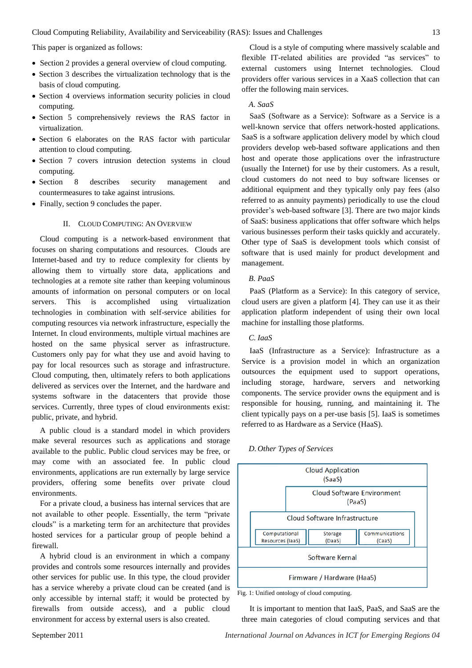This paper is organized as follows:

- Section 2 provides a general overview of cloud computing.
- Section 3 describes the virtualization technology that is the basis of cloud computing.
- Section 4 overviews information security policies in cloud computing.
- Section 5 comprehensively reviews the RAS factor in virtualization.
- Section 6 elaborates on the RAS factor with particular attention to cloud computing.
- Section 7 covers intrusion detection systems in cloud computing.
- Section 8 describes security management and countermeasures to take against intrusions.
- Finally, section 9 concludes the paper.

#### II. CLOUD COMPUTING: AN OVERVIEW

Cloud computing is a network-based environment that focuses on sharing computations and resources. Clouds are Internet-based and try to reduce complexity for clients by allowing them to virtually store data, applications and technologies at a remote site rather than keeping voluminous amounts of information on personal computers or on local servers. This is accomplished using virtualization technologies in combination with self-service abilities for computing resources via network infrastructure, especially the Internet. In cloud environments, multiple virtual machines are hosted on the same physical server as infrastructure. Customers only pay for what they use and avoid having to pay for local resources such as storage and infrastructure. Cloud computing, then, ultimately refers to both applications delivered as services over the Internet, and the hardware and systems software in the datacenters that provide those services. Currently, three types of cloud environments exist: public, private, and hybrid.

A public cloud is a standard model in which providers make several resources such as applications and storage available to the public. Public cloud services may be free, or may come with an associated fee. In public cloud environments, applications are run externally by large service providers, offering some benefits over private cloud environments.

For a private cloud, a business has internal services that are not available to other people. Essentially, the term "private clouds" is a marketing term for an architecture that provides hosted services for a particular group of people behind a firewall.

A hybrid cloud is an environment in which a company provides and controls some resources internally and provides other services for public use. In this type, the cloud provider has a service whereby a private cloud can be created (and is only accessible by internal staff; it would be protected by firewalls from outside access), and a public cloud environment for access by external users is also created.

Cloud is a style of computing where massively scalable and flexible IT-related abilities are provided "as services" to external customers using Internet technologies. Cloud providers offer various services in a XaaS collection that can offer the following main services.

#### *A. SaaS*

SaaS (Software as a Service): Software as a Service is a well-known service that offers network-hosted applications. SaaS is a software application delivery model by which cloud providers develop web-based software applications and then host and operate those applications over the infrastructure (usually the Internet) for use by their customers. As a result, cloud customers do not need to buy software licenses or additional equipment and they typically only pay fees (also referred to as annuity payments) periodically to use the cloud provider's web-based software [\[3\]](#page-10-0). There are two major kinds of SaaS: business applications that offer software which helps various businesses perform their tasks quickly and accurately. Other type of SaaS is development tools which consist of software that is used mainly for product development and management.

# *B. PaaS*

PaaS (Platform as a Service): In this category of service, cloud users are given a platform [\[4\]](#page-10-1). They can use it as their application platform independent of using their own local machine for installing those platforms.

## *C. IaaS*

IaaS (Infrastructure as a Service): Infrastructure as a Service is a provision model in which an organization outsources the equipment used to support operations, including storage, hardware, servers and networking components. The service provider owns the equipment and is responsible for housing, running, and maintaining it. The client typically pays on a per-use basis [\[5\]](#page-10-2). IaaS is sometimes referred to as Hardware as a Service (HaaS).



### *D. Other Types of Services*

Fig. 1: Unified ontology of cloud computing.

It is important to mention that IaaS, PaaS, and SaaS are the three main categories of cloud computing services and that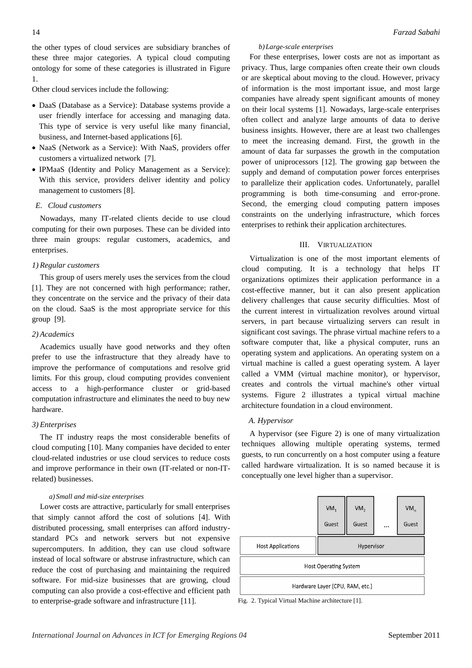the other types of cloud services are subsidiary branches of these three major categories. A typical cloud computing ontology for some of these categories is illustrated in Figure 1.

Other cloud services include the following:

- DaaS (Database as a Service): Database systems provide a user friendly interface for accessing and managing data. This type of service is very useful like many financial, business, and Internet-based applications [\[6\]](#page-10-3).
- NaaS (Network as a Service): With NaaS, providers offer customers a virtualized network [\[7\]](#page-10-4).
- IPMaaS (Identity and Policy Management as a Service): With this service, providers deliver identity and policy management to customers [\[8\]](#page-10-5).

# *E. Cloud customers*

Nowadays, many IT-related clients decide to use cloud computing for their own purposes. These can be divided into three main groups: regular customers, academics, and enterprises.

# *1) Regular customers*

This group of users merely uses the services from the cloud [\[1\]](#page-10-6). They are not concerned with high performance; rather, they concentrate on the service and the privacy of their data on the cloud. SaaS is the most appropriate service for this group [\[9\]](#page-10-7).

# *2) Academics*

Academics usually have good networks and they often prefer to use the infrastructure that they already have to improve the performance of computations and resolve grid limits. For this group, cloud computing provides convenient access to a high-performance cluster or grid-based computation infrastructure and eliminates the need to buy new hardware.

# *3) Enterprises*

The IT industry reaps the most considerable benefits of cloud computing [\[10\]](#page-10-8). Many companies have decided to enter cloud-related industries or use cloud services to reduce costs and improve performance in their own (IT-related or non-ITrelated) businesses.

# *a) Small and mid-size enterprises*

Lower costs are attractive, particularly for small enterprises that simply cannot afford the cost of solutions [\[4\]](#page-10-1). With distributed processing, small enterprises can afford industrystandard PCs and network servers but not expensive supercomputers. In addition, they can use cloud software instead of local software or abstruse infrastructure, which can reduce the cost of purchasing and maintaining the required software. For mid-size businesses that are growing, cloud computing can also provide a cost-effective and efficient path to enterprise-grade software and infrastructure [\[11\]](#page-10-9).

# *b)Large-scale enterprises*

For these enterprises, lower costs are not as important as privacy. Thus, large companies often create their own clouds or are skeptical about moving to the cloud. However, privacy of information is the most important issue, and most large companies have already spent significant amounts of money on their local systems [\[1\]](#page-10-6). Nowadays, large-scale enterprises often collect and analyze large amounts of data to derive business insights. However, there are at least two challenges to meet the increasing demand. First, the growth in the amount of data far surpasses the growth in the computation power of uniprocessors [\[12\]](#page-10-10). The growing gap between the supply and demand of computation power forces enterprises to parallelize their application codes. Unfortunately, parallel programming is both time-consuming and error-prone. Second, the emerging cloud computing pattern imposes constraints on the underlying infrastructure, which forces enterprises to rethink their application architectures.

# III. VIRTUALIZATION

Virtualization is one of the most important elements of cloud computing. It is a technology that helps IT organizations optimizes their application performance in a cost-effective manner, but it can also present application delivery challenges that cause security difficulties. Most of the current interest in virtualization revolves around virtual servers, in part because virtualizing servers can result in significant cost savings. The phrase virtual machine refers to a software computer that, like a physical computer, runs an operating system and applications. An operating system on a virtual machine is called a guest operating system. A layer called a VMM (virtual machine monitor), or hypervisor, creates and controls the virtual machine's other virtual systems. Figure 2 illustrates a typical virtual machine architecture foundation in a cloud environment.

# *A. Hypervisor*

A hypervisor (see Figure 2) is one of many virtualization techniques allowing multiple operating systems, termed guests, to run concurrently on a host computer using a feature called hardware virtualization. It is so named because it is conceptually one level higher than a supervisor.



Fig. 2. Typical Virtual Machine architecture [\[1\]](#page-10-6).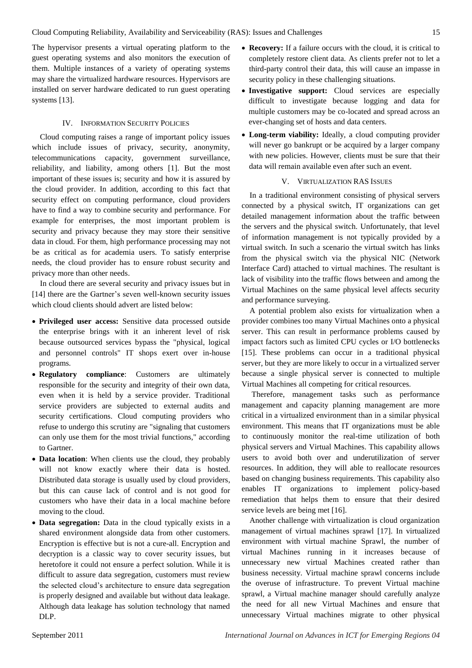The hypervisor presents a virtual operating platform to the guest operating systems and also monitors the execution of them. Multiple instances of a variety of operating systems may share the virtualized hardware resources. Hypervisors are installed on server hardware dedicated to run guest operating systems [\[13\]](#page-10-11).

## IV. INFORMATION SECURITY POLICIES

Cloud computing raises a range of important policy issues which include issues of privacy, security, anonymity, telecommunications capacity, government surveillance, reliability, and liability, among others [\[1\]](#page-10-6). But the most important of these issues is; security and how it is assured by the cloud provider. In addition, according to this fact that security effect on computing performance, cloud providers have to find a way to combine security and performance. For example for enterprises, the most important problem is security and privacy because they may store their sensitive data in cloud. For them, high performance processing may not be as critical as for academia users. To satisfy enterprise needs, the cloud provider has to ensure robust security and privacy more than other needs.

In cloud there are several security and privacy issues but in [\[14\]](#page-10-12) there are the Gartner's seven well-known security issues which cloud clients should advert are listed below:

- **Privileged user access:** Sensitive data processed outside the enterprise brings with it an inherent level of risk because outsourced services bypass the "physical, logical and personnel controls" IT shops exert over in-house programs.
- **Regulatory compliance**: Customers are ultimately responsible for the security and integrity of their own data, even when it is held by a service provider. Traditional service providers are subjected to external audits and security certifications. Cloud computing providers who refuse to undergo this scrutiny are "signaling that customers can only use them for the most trivial functions," according to Gartner.
- **Data location**: When clients use the cloud, they probably will not know exactly where their data is hosted. Distributed data storage is usually used by cloud providers, but this can cause lack of control and is not good for customers who have their data in a local machine before moving to the cloud.
- **Data segregation:** Data in the cloud typically exists in a shared environment alongside data from other customers. Encryption is effective but is not a cure-all. Encryption and decryption is a classic way to cover security issues, but heretofore it could not ensure a perfect solution. While it is difficult to assure data segregation, customers must review the selected cloud's architecture to ensure data segregation is properly designed and available but without data leakage. Although data leakage has solution technology that named DLP.
- **Recovery:** If a failure occurs with the cloud, it is critical to completely restore client data. As clients prefer not to let a third-party control their data, this will cause an impasse in security policy in these challenging situations.
- **Investigative support:** Cloud services are especially difficult to investigate because logging and data for multiple customers may be co-located and spread across an ever-changing set of hosts and data centers.
- **Long-term viability:** Ideally, a cloud computing provider will never go bankrupt or be acquired by a larger company with new policies. However, clients must be sure that their data will remain available even after such an event.

## V. VIRTUALIZATION RAS ISSUES

In a traditional environment consisting of physical servers connected by a physical switch, IT organizations can get detailed management information about the traffic between the servers and the physical switch. Unfortunately, that level of information management is not typically provided by a virtual switch. In such a scenario the virtual switch has links from the physical switch via the physical NIC (Network Interface Card) attached to virtual machines. The resultant is lack of visibility into the traffic flows between and among the Virtual Machines on the same physical level affects security and performance surveying.

A potential problem also exists for virtualization when a provider combines too many Virtual Machines onto a physical server. This can result in performance problems caused by impact factors such as limited CPU cycles or I/O bottlenecks [\[15\]](#page-10-13). These problems can occur in a traditional physical server, but they are more likely to occur in a virtualized server because a single physical server is connected to multiple Virtual Machines all competing for critical resources.

Therefore, management tasks such as performance management and capacity planning management are more critical in a virtualized environment than in a similar physical environment. This means that IT organizations must be able to continuously monitor the real-time utilization of both physical servers and Virtual Machines. This capability allows users to avoid both over and underutilization of server resources. In addition, they will able to reallocate resources based on changing business requirements. This capability also enables IT organizations to implement policy-based remediation that helps them to ensure that their desired service levels are being met [\[16\]](#page-10-14).

Another challenge with virtualization is cloud organization management of virtual machines sprawl [\[17\]](#page-10-15). In virtualized environment with virtual machine Sprawl, the number of virtual Machines running in it increases because of unnecessary new virtual Machines created rather than business necessity. Virtual machine sprawl concerns include the overuse of infrastructure. To prevent Virtual machine sprawl, a Virtual machine manager should carefully analyze the need for all new Virtual Machines and ensure that unnecessary Virtual machines migrate to other physical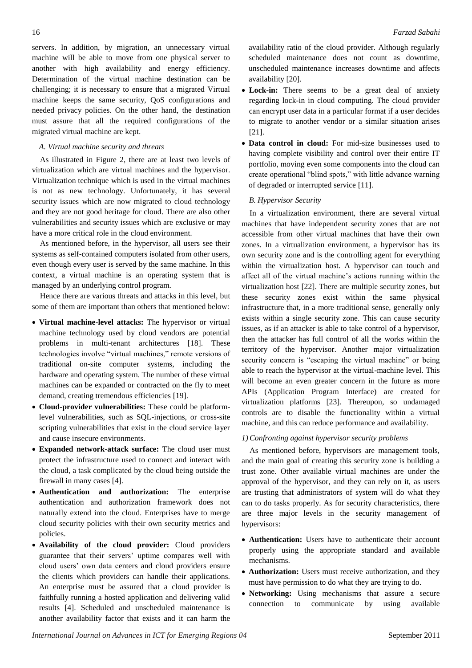servers. In addition, by migration, an unnecessary virtual machine will be able to move from one physical server to another with high availability and energy efficiency. Determination of the virtual machine destination can be challenging; it is necessary to ensure that a migrated Virtual machine keeps the same security, QoS configurations and needed privacy policies. On the other hand, the destination must assure that all the required configurations of the migrated virtual machine are kept.

## *A. Virtual machine security and threats*

As illustrated in Figure 2, there are at least two levels of virtualization which are virtual machines and the hypervisor. Virtualization technique which is used in the virtual machines is not as new technology. Unfortunately, it has several security issues which are now migrated to cloud technology and they are not good heritage for cloud. There are also other vulnerabilities and security issues which are exclusive or may have a more critical role in the cloud environment.

As mentioned before, in the hypervisor, all users see their systems as self-contained computers isolated from other users, even though every user is served by the same machine. In this context, a virtual machine is an operating system that is managed by an underlying control program.

Hence there are various threats and attacks in this level, but some of them are important than others that mentioned below:

- **Virtual machine-level attacks:** The hypervisor or virtual machine technology used by cloud vendors are potential problems in multi-tenant architectures [\[18\]](#page-10-16). These technologies involve "virtual machines," remote versions of traditional on-site computer systems, including the hardware and operating system. The number of these virtual machines can be expanded or contracted on the fly to meet demand, creating tremendous efficiencies [\[19\]](#page-10-17).
- **Cloud-provider vulnerabilities:** These could be platformlevel vulnerabilities, such as SQL-injections, or cross-site scripting vulnerabilities that exist in the cloud service layer and cause insecure environments.
- **Expanded network-attack surface:** The cloud user must protect the infrastructure used to connect and interact with the cloud, a task complicated by the cloud being outside the firewall in many cases [\[4\]](#page-10-1).
- **Authentication and authorization:** The enterprise authentication and authorization framework does not naturally extend into the cloud. Enterprises have to merge cloud security policies with their own security metrics and policies.
- **Availability of the cloud provider:** Cloud providers guarantee that their servers' uptime compares well with cloud users' own data centers and cloud providers ensure the clients which providers can handle their applications. An enterprise must be assured that a cloud provider is faithfully running a hosted application and delivering valid results [\[4\]](#page-10-1). Scheduled and unscheduled maintenance is another availability factor that exists and it can harm the

availability ratio of the cloud provider. Although regularly scheduled maintenance does not count as downtime, unscheduled maintenance increases downtime and affects availability [\[20\]](#page-11-0).

- **Lock-in:** There seems to be a great deal of anxiety regarding lock-in in cloud computing. The cloud provider can encrypt user data in a particular format if a user decides to migrate to another vendor or a similar situation arises [\[21\]](#page-11-1).
- **Data control in cloud:** For mid-size businesses used to having complete visibility and control over their entire IT portfolio, moving even some components into the cloud can create operational "blind spots," with little advance warning of degraded or interrupted service [\[11\]](#page-10-9).

## *B. Hypervisor Security*

In a virtualization environment, there are several virtual machines that have independent security zones that are not accessible from other virtual machines that have their own zones. In a virtualization environment, a hypervisor has its own security zone and is the controlling agent for everything within the virtualization host. A hypervisor can touch and affect all of the virtual machine's actions running within the virtualization host [\[22\]](#page-11-2). There are multiple security zones, but these security zones exist within the same physical infrastructure that, in a more traditional sense, generally only exists within a single security zone. This can cause security issues, as if an attacker is able to take control of a hypervisor, then the attacker has full control of all the works within the territory of the hypervisor. Another major virtualization security concern is "escaping the virtual machine" or being able to reach the hypervisor at the virtual-machine level. This will become an even greater concern in the future as more APIs (Application Program Interface) are created for virtualization platforms [\[23\]](#page-11-3). Thereupon, so undamaged controls are to disable the functionality within a virtual machine, and this can reduce performance and availability.

## *1) Confronting against hypervisor security problems*

As mentioned before, hypervisors are management tools, and the main goal of creating this security zone is building a trust zone. Other available virtual machines are under the approval of the hypervisor, and they can rely on it, as users are trusting that administrators of system will do what they can to do tasks properly. As for security characteristics, there are three major levels in the security management of hypervisors:

- **Authentication:** Users have to authenticate their account properly using the appropriate standard and available mechanisms.
- **Authorization:** Users must receive authorization, and they must have permission to do what they are trying to do.
- **Networking:** Using mechanisms that assure a secure connection to communicate by using available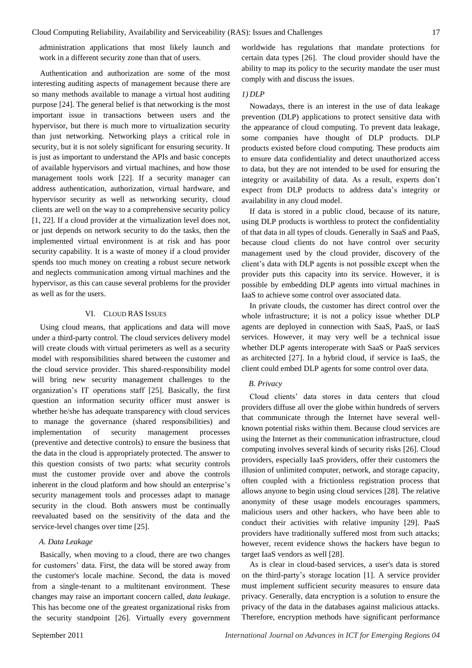administration applications that most likely launch and work in a different security zone than that of users.

Authentication and authorization are some of the most interesting auditing aspects of management because there are so many methods available to manage a virtual host auditing purpose [\[24\]](#page-11-4). The general belief is that networking is the most important issue in transactions between users and the hypervisor, but there is much more to virtualization security than just networking. Networking plays a critical role in security, but it is not solely significant for ensuring security. It is just as important to understand the APIs and basic concepts of available hypervisors and virtual machines, and how those management tools work [\[22\]](#page-11-2). If a security manager can address authentication, authorization, virtual hardware, and hypervisor security as well as networking security, cloud clients are well on the way to a comprehensive security policy [\[1,](#page-10-6) [22\]](#page-11-2). If a cloud provider at the virtualization level does not, or just depends on network security to do the tasks, then the implemented virtual environment is at risk and has poor security capability. It is a waste of money if a cloud provider spends too much money on creating a robust secure network and neglects communication among virtual machines and the hypervisor, as this can cause several problems for the provider as well as for the users.

#### VI. CLOUD RAS ISSUES

Using cloud means, that applications and data will move under a third-party control. The cloud services delivery model will create clouds with virtual perimeters as well as a security model with responsibilities shared between the customer and the cloud service provider. This shared-responsibility model will bring new security management challenges to the organization's IT operations staff [\[25\]](#page-11-5). Basically, the first question an information security officer must answer is whether he/she has adequate transparency with cloud services to manage the governance (shared responsibilities) and implementation of security management processes (preventive and detective controls) to ensure the business that the data in the cloud is appropriately protected. The answer to this question consists of two parts: what security controls must the customer provide over and above the controls inherent in the cloud platform and how should an enterprise's security management tools and processes adapt to manage security in the cloud. Both answers must be continually reevaluated based on the sensitivity of the data and the service-level changes over time [\[25\]](#page-11-5).

## *A. Data Leakage*

Basically, when moving to a cloud, there are two changes for customers' data. First, the data will be stored away from the customer's locale machine. Second, the data is moved from a single-tenant to a multitenant environment. These changes may raise an important concern called, *data leakage*. This has become one of the greatest organizational risks from the security standpoint [\[26\]](#page-11-6). Virtually every government

worldwide has regulations that mandate protections for certain data types [\[26\]](#page-11-6). The cloud provider should have the ability to map its policy to the security mandate the user must comply with and discuss the issues.

#### *1) DLP*

Nowadays, there is an interest in the use of data leakage prevention (DLP) applications to protect sensitive data with the appearance of cloud computing. To prevent data leakage, some companies have thought of DLP products. DLP products existed before cloud computing. These products aim to ensure data confidentiality and detect unauthorized access to data, but they are not intended to be used for ensuring the integrity or availability of data. As a result, experts don't expect from DLP products to address data's integrity or availability in any cloud model.

If data is stored in a public cloud, because of its nature, using DLP products is worthless to protect the confidentiality of that data in all types of clouds. Generally in SaaS and PaaS, because cloud clients do not have control over security management used by the cloud provider, discovery of the client's data with DLP agents is not possible except when the provider puts this capacity into its service. However, it is possible by embedding DLP agents into virtual machines in IaaS to achieve some control over associated data.

In private clouds, the customer has direct control over the whole infrastructure; it is not a policy issue whether DLP agents are deployed in connection with SaaS, PaaS, or IaaS services. However, it may very well be a technical issue whether DLP agents interoperate with SaaS or PaaS services as architected [\[27\]](#page-11-7). In a hybrid cloud, if service is IaaS, the client could embed DLP agents for some control over data.

#### *B. Privacy*

Cloud clients' data stores in data centers that cloud providers diffuse all over the globe within hundreds of servers that communicate through the Internet have several wellknown potential risks within them. Because cloud services are using the Internet as their communication infrastructure, cloud computing involves several kinds of security risks [\[26\]](#page-11-6). Cloud providers, especially IaaS providers, offer their customers the illusion of unlimited computer, network, and storage capacity, often coupled with a frictionless registration process that allows anyone to begin using cloud services [\[28\]](#page-11-8). The relative anonymity of these usage models encourages spammers, malicious users and other hackers, who have been able to conduct their activities with relative impunity [\[29\]](#page-11-9). PaaS providers have traditionally suffered most from such attacks; however, recent evidence shows the hackers have begun to target IaaS vendors as well [\[28\]](#page-11-8).

As is clear in cloud-based services, a user's data is stored on the third-party's storage location [\[1\]](#page-10-6). A service provider must implement sufficient security measures to ensure data privacy. Generally, data encryption is a solution to ensure the privacy of the data in the databases against malicious attacks. Therefore, encryption methods have significant performance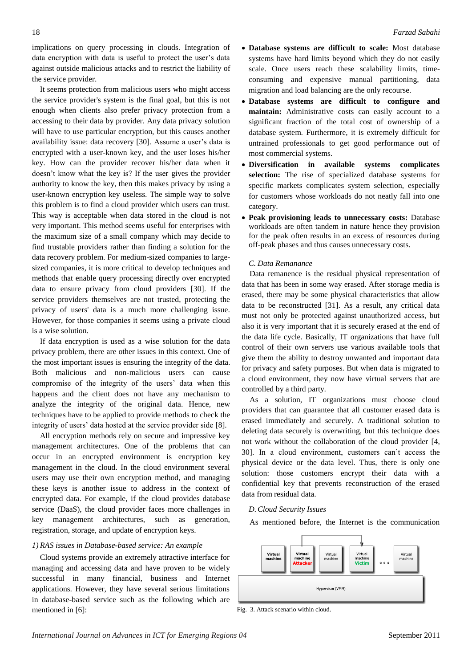implications on query processing in clouds. Integration of data encryption with data is useful to protect the user's data against outside malicious attacks and to restrict the liability of the service provider.

It seems protection from malicious users who might access the service provider's system is the final goal, but this is not enough when clients also prefer privacy protection from a accessing to their data by provider. Any data privacy solution will have to use particular encryption, but this causes another availability issue: data recovery [\[30\]](#page-11-10). Assume a user's data is encrypted with a user-known key, and the user loses his/her key. How can the provider recover his/her data when it doesn't know what the key is? If the user gives the provider authority to know the key, then this makes privacy by using a user-known encryption key useless. The simple way to solve this problem is to find a cloud provider which users can trust. This way is acceptable when data stored in the cloud is not very important. This method seems useful for enterprises with the maximum size of a small company which may decide to find trustable providers rather than finding a solution for the data recovery problem. For medium-sized companies to largesized companies, it is more critical to develop techniques and methods that enable query processing directly over encrypted data to ensure privacy from cloud providers [\[30\]](#page-11-10). If the service providers themselves are not trusted, protecting the privacy of users' data is a much more challenging issue. However, for those companies it seems using a private cloud is a wise solution.

If data encryption is used as a wise solution for the data privacy problem, there are other issues in this context. One of the most important issues is ensuring the integrity of the data. Both malicious and non-malicious users can cause compromise of the integrity of the users' data when this happens and the client does not have any mechanism to analyze the integrity of the original data. Hence, new techniques have to be applied to provide methods to check the integrity of users' data hosted at the service provider side [\[8\]](#page-10-5).

All encryption methods rely on secure and impressive key management architectures. One of the problems that can occur in an encrypted environment is encryption key management in the cloud. In the cloud environment several users may use their own encryption method, and managing these keys is another issue to address in the context of encrypted data. For example, if the cloud provides database service (DaaS), the cloud provider faces more challenges in key management architectures, such as generation, registration, storage, and update of encryption keys.

## *1) RAS issues in Database-based service: An example*

Cloud systems provide an extremely attractive interface for managing and accessing data and have proven to be widely successful in many financial, business and Internet applications. However, they have several serious limitations in database-based service such as the following which are mentioned in [\[6\]](#page-10-3):

- **Database systems are difficult to scale:** Most database systems have hard limits beyond which they do not easily scale. Once users reach these scalability limits, timeconsuming and expensive manual partitioning, data migration and load balancing are the only recourse.
- **Database systems are difficult to configure and maintain:** Administrative costs can easily account to a significant fraction of the total cost of ownership of a database system. Furthermore, it is extremely difficult for untrained professionals to get good performance out of most commercial systems.
- **Diversification in available systems complicates selection:** The rise of specialized database systems for specific markets complicates system selection, especially for customers whose workloads do not neatly fall into one category.
- **Peak provisioning leads to unnecessary costs:** Database workloads are often tandem in nature hence they provision for the peak often results in an excess of resources during off-peak phases and thus causes unnecessary costs.

### *C. Data Remanance*

Data remanence is the residual physical representation of data that has been in some way erased. After storage media is erased, there may be some physical characteristics that allow data to be reconstructed [\[31\]](#page-11-11). As a result, any critical data must not only be protected against unauthorized access, but also it is very important that it is securely erased at the end of the data life cycle. Basically, IT organizations that have full control of their own servers use various available tools that give them the ability to destroy unwanted and important data for privacy and safety purposes. But when data is migrated to a cloud environment, they now have virtual servers that are controlled by a third party.

As a solution, IT organizations must choose cloud providers that can guarantee that all customer erased data is erased immediately and securely. A traditional solution to deleting data securely is overwriting, but this technique does not work without the collaboration of the cloud provider [\[4,](#page-10-1) [30\]](#page-11-10). In a cloud environment, customers can't access the physical device or the data level. Thus, there is only one solution: those customers encrypt their data with a confidential key that prevents reconstruction of the erased data from residual data.

## *D.Cloud Security Issues*

As mentioned before, the Internet is the communication



Fig. 3. Attack scenario within cloud.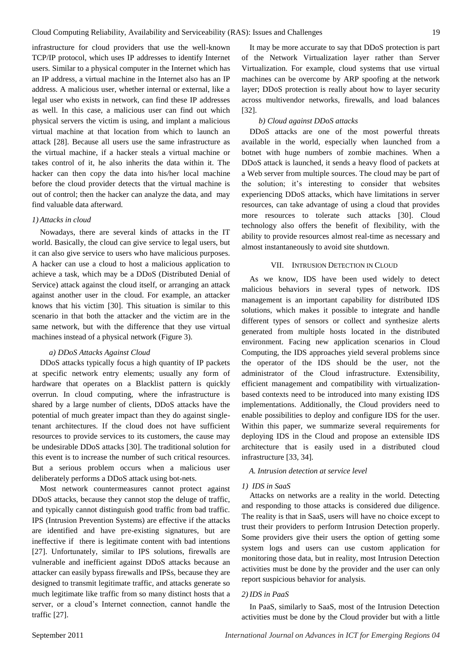infrastructure for cloud providers that use the well-known TCP/IP protocol, which uses IP addresses to identify Internet users. Similar to a physical computer in the Internet which has an IP address, a virtual machine in the Internet also has an IP address. A malicious user, whether internal or external, like a legal user who exists in network, can find these IP addresses as well. In this case, a malicious user can find out which physical servers the victim is using, and implant a malicious virtual machine at that location from which to launch an attack [\[28\]](#page-11-8). Because all users use the same infrastructure as the virtual machine, if a hacker steals a virtual machine or takes control of it, he also inherits the data within it. The hacker can then copy the data into his/her local machine before the cloud provider detects that the virtual machine is out of control; then the hacker can analyze the data, and may find valuable data afterward.

### *1) Attacks in cloud*

Nowadays, there are several kinds of attacks in the IT world. Basically, the cloud can give service to legal users, but it can also give service to users who have malicious purposes. A hacker can use a cloud to host a malicious application to achieve a task, which may be a DDoS (Distributed Denial of Service) attack against the cloud itself, or arranging an attack against another user in the cloud. For example, an attacker knows that his victim [\[30\]](#page-11-10). This situation is similar to this scenario in that both the attacker and the victim are in the same network, but with the difference that they use virtual machines instead of a physical network (Figure 3).

#### *a) DDoS Attacks Against Cloud*

DDoS attacks typically focus a high quantity of IP packets at specific network entry elements; usually any form of hardware that operates on a Blacklist pattern is quickly overrun. In cloud computing, where the infrastructure is shared by a large number of clients, DDoS attacks have the potential of much greater impact than they do against singletenant architectures. If the cloud does not have sufficient resources to provide services to its customers, the cause may be undesirable DDoS attacks [\[30\]](#page-11-10). The traditional solution for this event is to increase the number of such critical resources. But a serious problem occurs when a malicious user deliberately performs a DDoS attack using bot-nets.

Most network countermeasures cannot protect against DDoS attacks, because they cannot stop the deluge of traffic, and typically cannot distinguish good traffic from bad traffic. IPS (Intrusion Prevention Systems) are effective if the attacks are identified and have pre-existing signatures, but are ineffective if there is legitimate content with bad intentions [\[27\]](#page-11-7). Unfortunately, similar to IPS solutions, firewalls are vulnerable and inefficient against DDoS attacks because an attacker can easily bypass firewalls and IPSs, because they are designed to transmit legitimate traffic, and attacks generate so much legitimate like traffic from so many distinct hosts that a server, or a cloud's Internet connection, cannot handle the traffic [\[27\]](#page-11-7).

It may be more accurate to say that DDoS protection is part of the Network Virtualization layer rather than Server Virtualization. For example, cloud systems that use virtual machines can be overcome by ARP spoofing at the network layer; DDoS protection is really about how to layer security across multivendor networks, firewalls, and load balances [\[32\]](#page-11-12).

### *b) Cloud against DDoS attacks*

DDoS attacks are one of the most powerful threats available in the world, especially when launched from a botnet with huge numbers of zombie machines. When a DDoS attack is launched, it sends a heavy flood of packets at a Web server from multiple sources. The cloud may be part of the solution; it's interesting to consider that websites experiencing DDoS attacks, which have limitations in server resources, can take advantage of using a cloud that provides more resources to tolerate such attacks [\[30\]](#page-11-10). Cloud technology also offers the benefit of flexibility, with the ability to provide resources almost real-time as necessary and almost instantaneously to avoid site shutdown.

# VII. INTRUSION DETECTION IN CLOUD

As we know, IDS have been used widely to detect malicious behaviors in several types of network. IDS management is an important capability for distributed IDS solutions, which makes it possible to integrate and handle different types of sensors or collect and synthesize alerts generated from multiple hosts located in the distributed environment. Facing new application scenarios in Cloud Computing, the IDS approaches yield several problems since the operator of the IDS should be the user, not the administrator of the Cloud infrastructure. Extensibility, efficient management and compatibility with virtualizationbased contexts need to be introduced into many existing IDS implementations. Additionally, the Cloud providers need to enable possibilities to deploy and configure IDS for the user. Within this paper, we summarize several requirements for deploying IDS in the Cloud and propose an extensible IDS architecture that is easily used in a distributed cloud infrastructure [\[33,](#page-11-13) [34\]](#page-11-14).

#### *A. Intrusion detection at service level*

#### *1) IDS in SaaS*

Attacks on networks are a reality in the world. Detecting and responding to those attacks is considered due diligence. The reality is that in SaaS, users will have no choice except to trust their providers to perform Intrusion Detection properly. Some providers give their users the option of getting some system logs and users can use custom application for monitoring those data, but in reality, most Intrusion Detection activities must be done by the provider and the user can only report suspicious behavior for analysis.

## *2) IDS in PaaS*

In PaaS, similarly to SaaS, most of the Intrusion Detection activities must be done by the Cloud provider but with a little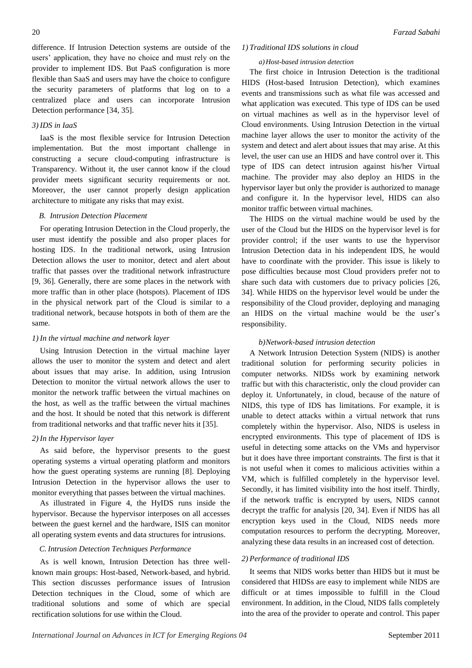difference. If Intrusion Detection systems are outside of the users' application, they have no choice and must rely on the provider to implement IDS. But PaaS configuration is more flexible than SaaS and users may have the choice to configure the security parameters of platforms that log on to a centralized place and users can incorporate Intrusion Detection performance [\[34,](#page-11-14) [35\]](#page-11-15).

# *3) IDS in IaaS*

IaaS is the most flexible service for Intrusion Detection implementation. But the most important challenge in constructing a secure cloud-computing infrastructure is Transparency. Without it, the user cannot know if the cloud provider meets significant security requirements or not. Moreover, the user cannot properly design application architecture to mitigate any risks that may exist.

#### *B. Intrusion Detection Placement*

For operating Intrusion Detection in the Cloud properly, the user must identify the possible and also proper places for hosting IDS. In the traditional network, using Intrusion Detection allows the user to monitor, detect and alert about traffic that passes over the traditional network infrastructure [\[9,](#page-10-7) [36\]](#page-11-16). Generally, there are some places in the network with more traffic than in other place (hotspots). Placement of IDS in the physical network part of the Cloud is similar to a traditional network, because hotspots in both of them are the same.

### *1) In the virtual machine and network layer*

Using Intrusion Detection in the virtual machine layer allows the user to monitor the system and detect and alert about issues that may arise. In addition, using Intrusion Detection to monitor the virtual network allows the user to monitor the network traffic between the virtual machines on the host, as well as the traffic between the virtual machines and the host. It should be noted that this network is different from traditional networks and that traffic never hits it [35].

#### *2) In the Hypervisor layer*

As said before, the hypervisor presents to the guest operating systems a virtual operating platform and monitors how the guest operating systems are running [\[8\]](#page-10-5). Deploying Intrusion Detection in the hypervisor allows the user to monitor everything that passes between the virtual machines.

As illustrated in Figure 4, the HyIDS runs inside the hypervisor. Because the hypervisor interposes on all accesses between the guest kernel and the hardware, ISIS can monitor all operating system events and data structures for intrusions.

#### *C. Intrusion Detection Techniques Performance*

As is well known, Intrusion Detection has three wellknown main groups: Host-based, Network-based, and hybrid. This section discusses performance issues of Intrusion Detection techniques in the Cloud, some of which are traditional solutions and some of which are special rectification solutions for use within the Cloud.

## *1) Traditional IDS solutions in cloud*

#### *a)Host-based intrusion detection*

The first choice in Intrusion Detection is the traditional HIDS (Host-based Intrusion Detection), which examines events and transmissions such as what file was accessed and what application was executed. This type of IDS can be used on virtual machines as well as in the hypervisor level of Cloud environments. Using Intrusion Detection in the virtual machine layer allows the user to monitor the activity of the system and detect and alert about issues that may arise. At this level, the user can use an HIDS and have control over it. This type of IDS can detect intrusion against his/her Virtual machine. The provider may also deploy an HIDS in the hypervisor layer but only the provider is authorized to manage and configure it. In the hypervisor level, HIDS can also monitor traffic between virtual machines.

The HIDS on the virtual machine would be used by the user of the Cloud but the HIDS on the hypervisor level is for provider control; if the user wants to use the hypervisor Intrusion Detection data in his independent IDS, he would have to coordinate with the provider. This issue is likely to pose difficulties because most Cloud providers prefer not to share such data with customers due to privacy policies [\[26,](#page-11-6) [34\]](#page-11-14). While HIDS on the hypervisor level would be under the responsibility of the Cloud provider, deploying and managing an HIDS on the virtual machine would be the user's responsibility.

#### *b)Network-based intrusion detection*

A Network Intrusion Detection System (NIDS) is another traditional solution for performing security policies in computer networks. NIDSs work by examining network traffic but with this characteristic, only the cloud provider can deploy it. Unfortunately, in cloud, because of the nature of NIDS, this type of IDS has limitations. For example, it is unable to detect attacks within a virtual network that runs completely within the hypervisor. Also, NIDS is useless in encrypted environments. This type of placement of IDS is useful in detecting some attacks on the VMs and hypervisor but it does have three important constraints. The first is that it is not useful when it comes to malicious activities within a VM, which is fulfilled completely in the hypervisor level. Secondly, it has limited visibility into the host itself. Thirdly, if the network traffic is encrypted by users, NIDS cannot decrypt the traffic for analysis [\[20,](#page-11-0) [34\]](#page-11-14). Even if NIDS has all encryption keys used in the Cloud, NIDS needs more computation resources to perform the decrypting. Moreover, analyzing these data results in an increased cost of detection.

## *2) Performance of traditional IDS*

It seems that NIDS works better than HIDS but it must be considered that HIDSs are easy to implement while NIDS are difficult or at times impossible to fulfill in the Cloud environment. In addition, in the Cloud, NIDS falls completely into the area of the provider to operate and control. This paper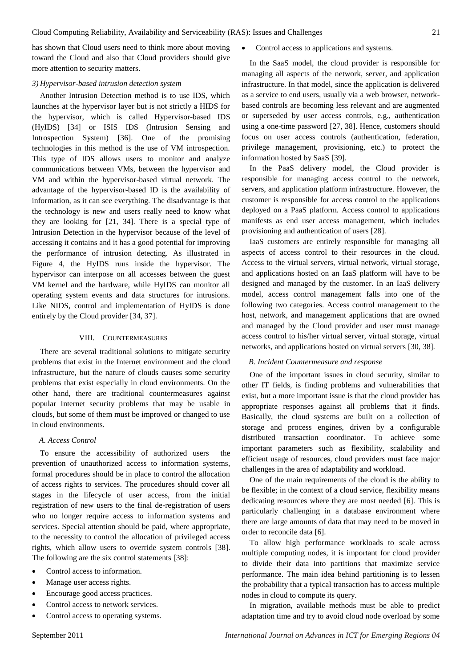has shown that Cloud users need to think more about moving toward the Cloud and also that Cloud providers should give more attention to security matters.

#### *3) Hypervisor-based intrusion detection system*

Another Intrusion Detection method is to use IDS, which launches at the hypervisor layer but is not strictly a HIDS for the hypervisor, which is called Hypervisor-based IDS (HyIDS) [\[34\]](#page-11-14) or ISIS IDS (Intrusion Sensing and Introspection System) [\[36\]](#page-11-16). One of the promising technologies in this method is the use of VM introspection. This type of IDS allows users to monitor and analyze communications between VMs, between the hypervisor and VM and within the hypervisor-based virtual network. The advantage of the hypervisor-based ID is the availability of information, as it can see everything. The disadvantage is that the technology is new and users really need to know what they are looking for [\[21,](#page-11-1) [34\]](#page-11-14). There is a special type of Intrusion Detection in the hypervisor because of the level of accessing it contains and it has a good potential for improving the performance of intrusion detecting. As illustrated in Figure 4, the HyIDS runs inside the hypervisor. The hypervisor can interpose on all accesses between the guest VM kernel and the hardware, while HyIDS can monitor all operating system events and data structures for intrusions. Like NIDS, control and implementation of HyIDS is done entirely by the Cloud provider [\[34,](#page-11-14) [37\]](#page-11-17).

#### VIII. COUNTERMEASURES

There are several traditional solutions to mitigate security problems that exist in the Internet environment and the cloud infrastructure, but the nature of clouds causes some security problems that exist especially in cloud environments. On the other hand, there are traditional countermeasures against popular Internet security problems that may be usable in clouds, but some of them must be improved or changed to use in cloud environments.

## *A. Access Control*

To ensure the accessibility of authorized users the prevention of unauthorized access to information systems, formal procedures should be in place to control the allocation of access rights to services. The procedures should cover all stages in the lifecycle of user access, from the initial registration of new users to the final de-registration of users who no longer require access to information systems and services. Special attention should be paid, where appropriate, to the necessity to control the allocation of privileged access rights, which allow users to override system controls [\[38\]](#page-11-18). The following are the six control statements [\[38\]](#page-11-18):

- Control access to information.
- Manage user access rights.
- Encourage good access practices.
- Control access to network services.
- Control access to operating systems.

• Control access to applications and systems.

In the SaaS model, the cloud provider is responsible for managing all aspects of the network, server, and application infrastructure. In that model, since the application is delivered as a service to end users, usually via a web browser, networkbased controls are becoming less relevant and are augmented or superseded by user access controls, e.g., authentication using a one-time password [\[27,](#page-11-7) [38\]](#page-11-18). Hence, customers should focus on user access controls (authentication, federation, privilege management, provisioning, etc.) to protect the information hosted by SaaS [\[39\]](#page-11-19).

In the PaaS delivery model, the Cloud provider is responsible for managing access control to the network, servers, and application platform infrastructure. However, the customer is responsible for access control to the applications deployed on a PaaS platform. Access control to applications manifests as end user access management, which includes provisioning and authentication of users [\[28\]](#page-11-8).

IaaS customers are entirely responsible for managing all aspects of access control to their resources in the cloud. Access to the virtual servers, virtual network, virtual storage, and applications hosted on an IaaS platform will have to be designed and managed by the customer. In an IaaS delivery model, access control management falls into one of the following two categories. Access control management to the host, network, and management applications that are owned and managed by the Cloud provider and user must manage access control to his/her virtual server, virtual storage, virtual networks, and applications hosted on virtual servers [\[30,](#page-11-10) [38\]](#page-11-18).

#### *B. Incident Countermeasure and response*

One of the important issues in cloud security, similar to other IT fields, is finding problems and vulnerabilities that exist, but a more important issue is that the cloud provider has appropriate responses against all problems that it finds. Basically, the cloud systems are built on a collection of storage and process engines, driven by a configurable distributed transaction coordinator. To achieve some important parameters such as flexibility, scalability and efficient usage of resources, cloud providers must face major challenges in the area of adaptability and workload.

One of the main requirements of the cloud is the ability to be flexible; in the context of a cloud service, flexibility means dedicating resources where they are most needed [\[6\]](#page-10-3). This is particularly challenging in a database environment where there are large amounts of data that may need to be moved in order to reconcile data [\[6\]](#page-10-3).

To allow high performance workloads to scale across multiple computing nodes, it is important for cloud provider to divide their data into partitions that maximize service performance. The main idea behind partitioning is to lessen the probability that a typical transaction has to access multiple nodes in cloud to compute its query.

In migration, available methods must be able to predict adaptation time and try to avoid cloud node overload by some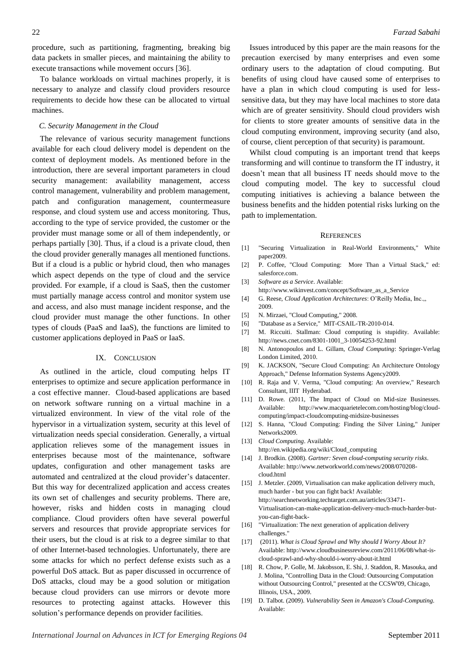procedure, such as partitioning, fragmenting, breaking big data packets in smaller pieces, and maintaining the ability to execute transactions while movement occurs [\[36\]](#page-11-16).

To balance workloads on virtual machines properly, it is necessary to analyze and classify cloud providers resource requirements to decide how these can be allocated to virtual machines.

## *C. Security Management in the Cloud*

The relevance of various security management functions available for each cloud delivery model is dependent on the context of deployment models. As mentioned before in the introduction, there are several important parameters in cloud security management: availability management, access control management, vulnerability and problem management, patch and configuration management, countermeasure response, and cloud system use and access monitoring. Thus, according to the type of service provided, the customer or the provider must manage some or all of them independently, or perhaps partially [\[30\]](#page-11-10). Thus, if a cloud is a private cloud, then the cloud provider generally manages all mentioned functions. But if a cloud is a public or hybrid cloud, then who manages which aspect depends on the type of cloud and the service provided. For example, if a cloud is SaaS, then the customer must partially manage access control and monitor system use and access, and also must manage incident response, and the cloud provider must manage the other functions. In other types of clouds (PaaS and IaaS), the functions are limited to customer applications deployed in PaaS or IaaS.

#### IX. CONCLUSION

As outlined in the article, cloud computing helps IT enterprises to optimize and secure application performance in a cost effective manner. Cloud-based applications are based on network software running on a virtual machine in a virtualized environment. In view of the vital role of the hypervisor in a virtualization system, security at this level of virtualization needs special consideration. Generally, a virtual application relieves some of the management issues in enterprises because most of the maintenance, software updates, configuration and other management tasks are automated and centralized at the cloud provider's datacenter. But this way for decentralized application and access creates its own set of challenges and security problems. There are, however, risks and hidden costs in managing cloud compliance. Cloud providers often have several powerful servers and resources that provide appropriate services for their users, but the cloud is at risk to a degree similar to that of other Internet-based technologies. Unfortunately, there are some attacks for which no perfect defense exists such as a powerful DoS attack. But as paper discussed in occurrence of DoS attacks, cloud may be a good solution or mitigation because cloud providers can use mirrors or devote more resources to protecting against attacks. However this solution's performance depends on provider facilities.

Issues introduced by this paper are the main reasons for the precaution exercised by many enterprises and even some ordinary users to the adaptation of cloud computing. But benefits of using cloud have caused some of enterprises to have a plan in which cloud computing is used for lesssensitive data, but they may have local machines to store data which are of greater sensitivity. Should cloud providers wish for clients to store greater amounts of sensitive data in the cloud computing environment, improving security (and also, of course, client perception of that security) is paramount.

Whilst cloud computing is an important trend that keeps transforming and will continue to transform the IT industry, it doesn't mean that all business IT needs should move to the cloud computing model. The key to successful cloud computing initiatives is achieving a balance between the business benefits and the hidden potential risks lurking on the path to implementation.

#### **REFERENCES**

- <span id="page-10-6"></span>[1] "Securing Virtualization in Real-World Environments," White paper2009.
- [2] P. Coffee, "Cloud Computing: More Than a Virtual Stack," ed: salesforce.com.
- <span id="page-10-0"></span>[3] *Software as a Service*. Available: http://www.wikinvest.com/concept/Software\_as\_a\_Service
- <span id="page-10-1"></span>[4] G. Reese, *Cloud Application Architectures*: O'Reilly Media, Inc.,, 2009.
- <span id="page-10-2"></span>[5] N. Mirzaei, "Cloud Computing," 2008.
- <span id="page-10-3"></span>[6] "Database as a Service," MIT-CSAIL-TR-2010-014.
- <span id="page-10-4"></span>[7] M. Riccuiti. Stallman: Cloud computing is stupidity. Available: http://news.cnet.com/8301-1001\_3-10054253-92.html
- <span id="page-10-5"></span>[8] N. Antonopoulos and L. Gillam, *Cloud Computing*: Springer-Verlag London Limited, 2010.
- <span id="page-10-7"></span>[9] K. JACKSON, "Secure Cloud Computing: An Architecture Ontology Approach," Defense Information Systems Agency2009.
- <span id="page-10-8"></span>[10] R. Raja and V. Verma, "Cloud computing: An overview," Research Consultant, IIIT Hyderabad.
- <span id="page-10-9"></span>[11] D. Rowe. (2011, The Impact of Cloud on Mid-size Businesses. Available: http://www.macquarietelecom.com/hosting/blog/cloudcomputing/impact-cloudcomputing-midsize-businesses
- <span id="page-10-10"></span>[12] S. Hanna, "Cloud Computing: Finding the Silver Lining," Juniper Networks2009.
- <span id="page-10-11"></span>[13] *Cloud Computing*. Available: http://en.wikipedia.org/wiki/Cloud\_computing
- <span id="page-10-12"></span>[14] J. Brodkin. (2008). *Gartner: Seven cloud-computing security risks*. Available: http://www.networkworld.com/news/2008/070208 cloud.html
- <span id="page-10-13"></span>[15] J. Metzler. (2009, Virtualisation can make application delivery much, much harder - but you can fight back! Available: http://searchnetworking.techtarget.com.au/articles/33471- Virtualisation-can-make-application-delivery-much-much-harder-butyou-can-fight-back-
- <span id="page-10-14"></span>[16] "Virtualization: The next generation of application delivery challenges."
- <span id="page-10-15"></span>[17] (2011). *What is Cloud Sprawl and Why should I Worry About It?* Available: http://www.cloudbusinessreview.com/2011/06/08/what-iscloud-sprawl-and-why-should-i-worry-about-it.html
- <span id="page-10-16"></span>[18] R. Chow, P. Golle, M. Jakobsson, E. Shi, J. Staddon, R. Masouka, and J. Molina, "Controlling Data in the Cloud: Outsourcing Computation without Outsourcing Control," presented at the CCSW'09, Chicago, Illinois, USA., 2009.
- <span id="page-10-17"></span>[19] D. Talbot. (2009). *Vulnerability Seen in Amazon's Cloud-Computing*. Available: